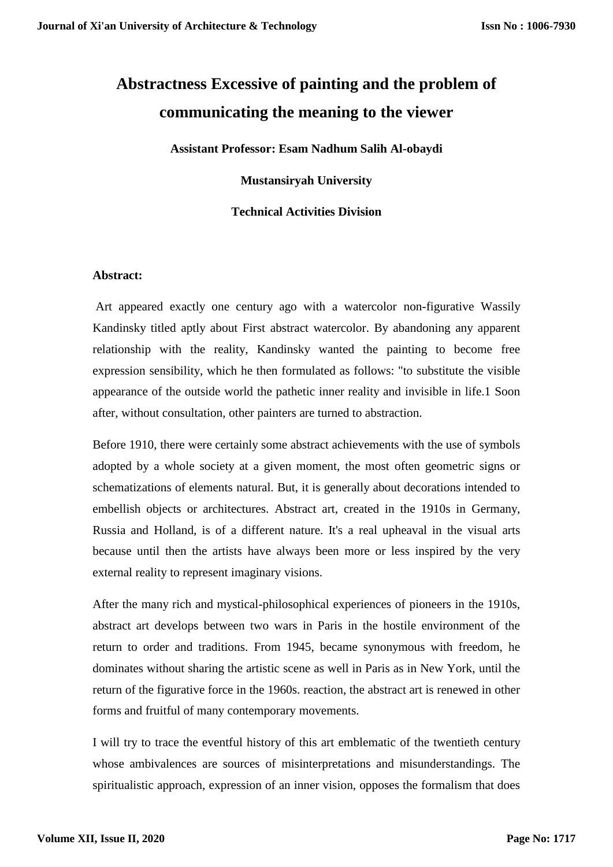# **Abstractness Excessive of painting and the problem of communicating the meaning to the viewer**

**Assistant Professor: Esam Nadhum Salih Al-obaydi**

**Mustansiryah University**

# **Technical Activities Division**

# **Abstract:**

Art appeared exactly one century ago with a watercolor non-figurative Wassily Kandinsky titled aptly about First abstract watercolor. By abandoning any apparent relationship with the reality, Kandinsky wanted the painting to become free expression sensibility, which he then formulated as follows: "to substitute the visible appearance of the outside world the pathetic inner reality and invisible in life.1 Soon after, without consultation, other painters are turned to abstraction.

Before 1910, there were certainly some abstract achievements with the use of symbols adopted by a whole society at a given moment, the most often geometric signs or schematizations of elements natural. But, it is generally about decorations intended to embellish objects or architectures. Abstract art, created in the 1910s in Germany, Russia and Holland, is of a different nature. It's a real upheaval in the visual arts because until then the artists have always been more or less inspired by the very external reality to represent imaginary visions.

After the many rich and mystical-philosophical experiences of pioneers in the 1910s, abstract art develops between two wars in Paris in the hostile environment of the return to order and traditions. From 1945, became synonymous with freedom, he dominates without sharing the artistic scene as well in Paris as in New York, until the return of the figurative force in the 1960s. reaction, the abstract art is renewed in other forms and fruitful of many contemporary movements.

I will try to trace the eventful history of this art emblematic of the twentieth century whose ambivalences are sources of misinterpretations and misunderstandings. The spiritualistic approach, expression of an inner vision, opposes the formalism that does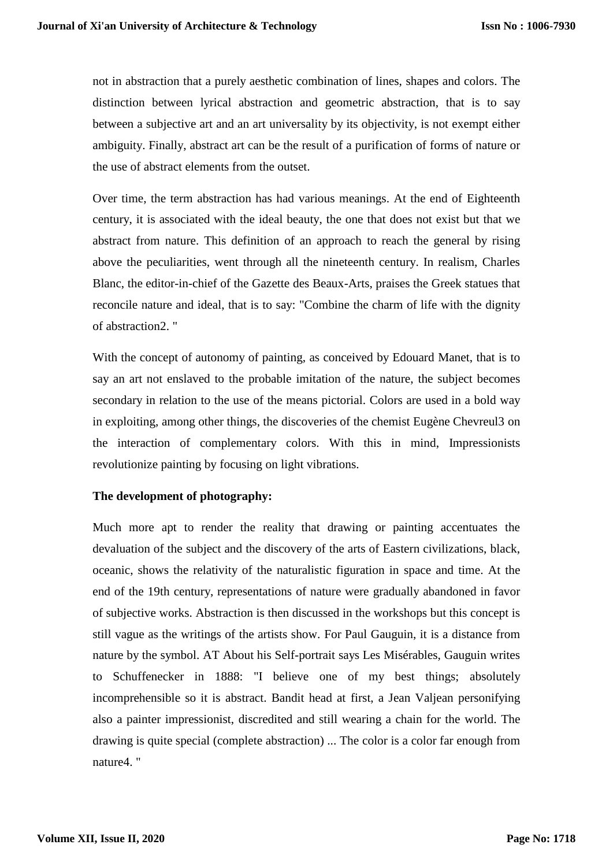not in abstraction that a purely aesthetic combination of lines, shapes and colors. The distinction between lyrical abstraction and geometric abstraction, that is to say between a subjective art and an art universality by its objectivity, is not exempt either ambiguity. Finally, abstract art can be the result of a purification of forms of nature or the use of abstract elements from the outset.

Over time, the term abstraction has had various meanings. At the end of Eighteenth century, it is associated with the ideal beauty, the one that does not exist but that we abstract from nature. This definition of an approach to reach the general by rising above the peculiarities, went through all the nineteenth century. In realism, Charles Blanc, the editor-in-chief of the Gazette des Beaux-Arts, praises the Greek statues that reconcile nature and ideal, that is to say: "Combine the charm of life with the dignity of abstraction2. "

With the concept of autonomy of painting, as conceived by Edouard Manet, that is to say an art not enslaved to the probable imitation of the nature, the subject becomes secondary in relation to the use of the means pictorial. Colors are used in a bold way in exploiting, among other things, the discoveries of the chemist Eugène Chevreul3 on the interaction of complementary colors. With this in mind, Impressionists revolutionize painting by focusing on light vibrations.

# **The development of photography:**

Much more apt to render the reality that drawing or painting accentuates the devaluation of the subject and the discovery of the arts of Eastern civilizations, black, oceanic, shows the relativity of the naturalistic figuration in space and time. At the end of the 19th century, representations of nature were gradually abandoned in favor of subjective works. Abstraction is then discussed in the workshops but this concept is still vague as the writings of the artists show. For Paul Gauguin, it is a distance from nature by the symbol. AT About his Self-portrait says Les Misérables, Gauguin writes to Schuffenecker in 1888: "I believe one of my best things; absolutely incomprehensible so it is abstract. Bandit head at first, a Jean Valjean personifying also a painter impressionist, discredited and still wearing a chain for the world. The drawing is quite special (complete abstraction) ... The color is a color far enough from nature4. "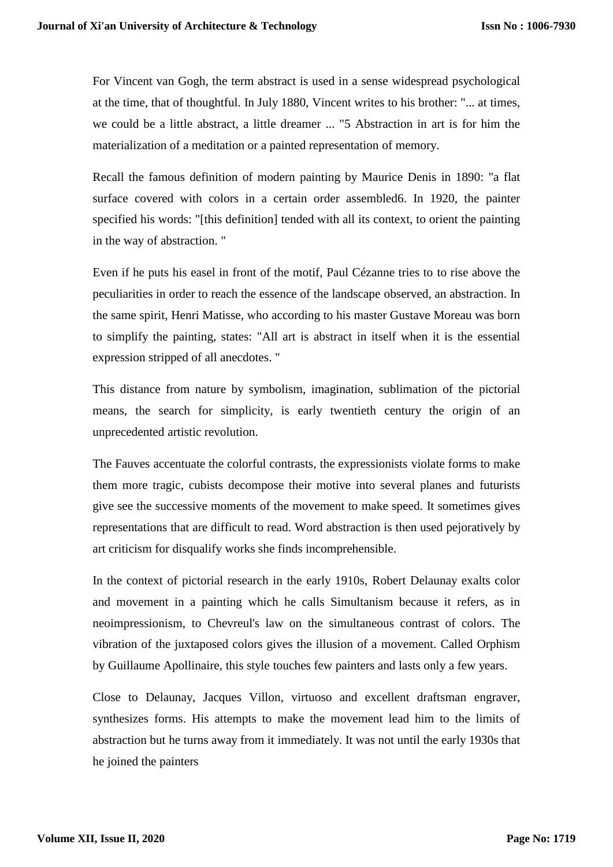For Vincent van Gogh, the term abstract is used in a sense widespread psychological at the time, that of thoughtful. In July 1880, Vincent writes to his brother: "... at times, we could be a little abstract, a little dreamer ... "5 Abstraction in art is for him the materialization of a meditation or a painted representation of memory.

Recall the famous definition of modern painting by Maurice Denis in 1890: "a flat surface covered with colors in a certain order assembled6. In 1920, the painter specified his words: "[this definition] tended with all its context, to orient the painting in the way of abstraction. "

Even if he puts his easel in front of the motif, Paul Cézanne tries to to rise above the peculiarities in order to reach the essence of the landscape observed, an abstraction. In the same spirit, Henri Matisse, who according to his master Gustave Moreau was born to simplify the painting, states: "All art is abstract in itself when it is the essential expression stripped of all anecdotes. "

This distance from nature by symbolism, imagination, sublimation of the pictorial means, the search for simplicity, is early twentieth century the origin of an unprecedented artistic revolution.

The Fauves accentuate the colorful contrasts, the expressionists violate forms to make them more tragic, cubists decompose their motive into several planes and futurists give see the successive moments of the movement to make speed. It sometimes gives representations that are difficult to read. Word abstraction is then used pejoratively by art criticism for disqualify works she finds incomprehensible.

In the context of pictorial research in the early 1910s, Robert Delaunay exalts color and movement in a painting which he calls Simultanism because it refers, as in neoimpressionism, to Chevreul's law on the simultaneous contrast of colors. The vibration of the juxtaposed colors gives the illusion of a movement. Called Orphism by Guillaume Apollinaire, this style touches few painters and lasts only a few years.

Close to Delaunay, Jacques Villon, virtuoso and excellent draftsman engraver, synthesizes forms. His attempts to make the movement lead him to the limits of abstraction but he turns away from it immediately. It was not until the early 1930s that he joined the painters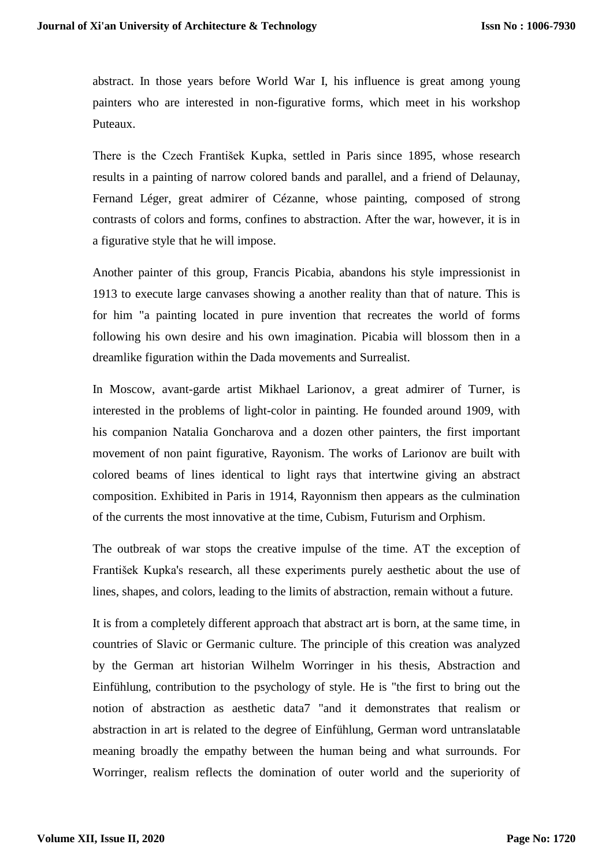abstract. In those years before World War I, his influence is great among young painters who are interested in non-figurative forms, which meet in his workshop Puteaux.

There is the Czech František Kupka, settled in Paris since 1895, whose research results in a painting of narrow colored bands and parallel, and a friend of Delaunay, Fernand Léger, great admirer of Cézanne, whose painting, composed of strong contrasts of colors and forms, confines to abstraction. After the war, however, it is in a figurative style that he will impose.

Another painter of this group, Francis Picabia, abandons his style impressionist in 1913 to execute large canvases showing a another reality than that of nature. This is for him "a painting located in pure invention that recreates the world of forms following his own desire and his own imagination. Picabia will blossom then in a dreamlike figuration within the Dada movements and Surrealist.

In Moscow, avant-garde artist Mikhael Larionov, a great admirer of Turner, is interested in the problems of light-color in painting. He founded around 1909, with his companion Natalia Goncharova and a dozen other painters, the first important movement of non paint figurative, Rayonism. The works of Larionov are built with colored beams of lines identical to light rays that intertwine giving an abstract composition. Exhibited in Paris in 1914, Rayonnism then appears as the culmination of the currents the most innovative at the time, Cubism, Futurism and Orphism.

The outbreak of war stops the creative impulse of the time. AT the exception of František Kupka's research, all these experiments purely aesthetic about the use of lines, shapes, and colors, leading to the limits of abstraction, remain without a future.

It is from a completely different approach that abstract art is born, at the same time, in countries of Slavic or Germanic culture. The principle of this creation was analyzed by the German art historian Wilhelm Worringer in his thesis, Abstraction and Einfühlung, contribution to the psychology of style. He is "the first to bring out the notion of abstraction as aesthetic data7 "and it demonstrates that realism or abstraction in art is related to the degree of Einfühlung, German word untranslatable meaning broadly the empathy between the human being and what surrounds. For Worringer, realism reflects the domination of outer world and the superiority of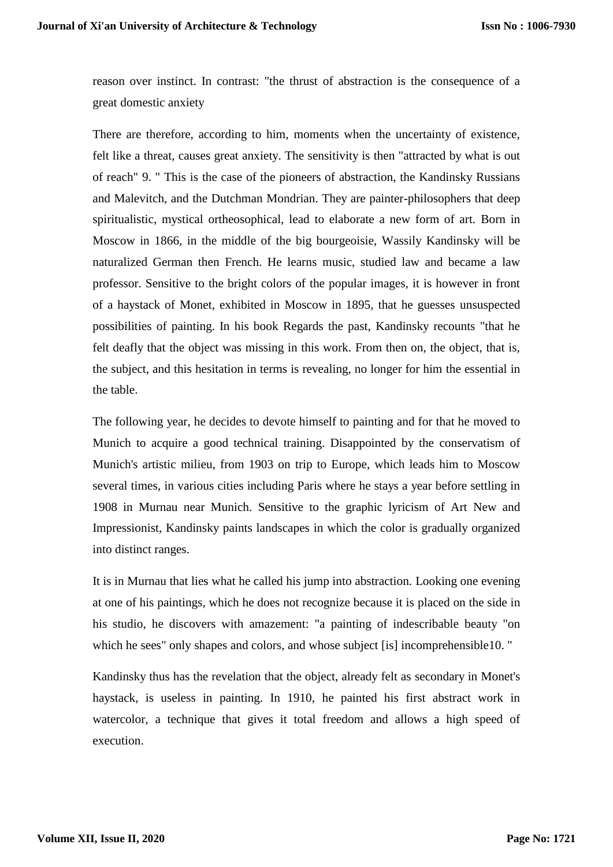reason over instinct. In contrast: "the thrust of abstraction is the consequence of a great domestic anxiety

There are therefore, according to him, moments when the uncertainty of existence, felt like a threat, causes great anxiety. The sensitivity is then "attracted by what is out of reach" 9. " This is the case of the pioneers of abstraction, the Kandinsky Russians and Malevitch, and the Dutchman Mondrian. They are painter-philosophers that deep spiritualistic, mystical ortheosophical, lead to elaborate a new form of art. Born in Moscow in 1866, in the middle of the big bourgeoisie, Wassily Kandinsky will be naturalized German then French. He learns music, studied law and became a law professor. Sensitive to the bright colors of the popular images, it is however in front of a haystack of Monet, exhibited in Moscow in 1895, that he guesses unsuspected possibilities of painting. In his book Regards the past, Kandinsky recounts "that he felt deafly that the object was missing in this work. From then on, the object, that is, the subject, and this hesitation in terms is revealing, no longer for him the essential in the table.

The following year, he decides to devote himself to painting and for that he moved to Munich to acquire a good technical training. Disappointed by the conservatism of Munich's artistic milieu, from 1903 on trip to Europe, which leads him to Moscow several times, in various cities including Paris where he stays a year before settling in 1908 in Murnau near Munich. Sensitive to the graphic lyricism of Art New and Impressionist, Kandinsky paints landscapes in which the color is gradually organized into distinct ranges.

It is in Murnau that lies what he called his jump into abstraction. Looking one evening at one of his paintings, which he does not recognize because it is placed on the side in his studio, he discovers with amazement: "a painting of indescribable beauty "on which he sees" only shapes and colors, and whose subject [is] incomprehensible10. "

Kandinsky thus has the revelation that the object, already felt as secondary in Monet's haystack, is useless in painting. In 1910, he painted his first abstract work in watercolor, a technique that gives it total freedom and allows a high speed of execution.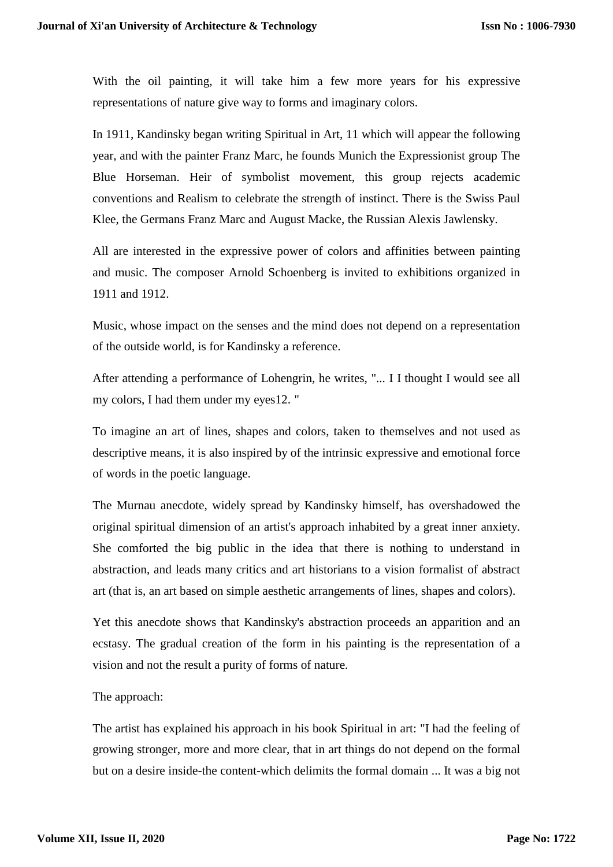With the oil painting, it will take him a few more years for his expressive representations of nature give way to forms and imaginary colors.

In 1911, Kandinsky began writing Spiritual in Art, 11 which will appear the following year, and with the painter Franz Marc, he founds Munich the Expressionist group The Blue Horseman. Heir of symbolist movement, this group rejects academic conventions and Realism to celebrate the strength of instinct. There is the Swiss Paul Klee, the Germans Franz Marc and August Macke, the Russian Alexis Jawlensky.

All are interested in the expressive power of colors and affinities between painting and music. The composer Arnold Schoenberg is invited to exhibitions organized in 1911 and 1912.

Music, whose impact on the senses and the mind does not depend on a representation of the outside world, is for Kandinsky a reference.

After attending a performance of Lohengrin, he writes, "... I I thought I would see all my colors, I had them under my eyes12. "

To imagine an art of lines, shapes and colors, taken to themselves and not used as descriptive means, it is also inspired by of the intrinsic expressive and emotional force of words in the poetic language.

The Murnau anecdote, widely spread by Kandinsky himself, has overshadowed the original spiritual dimension of an artist's approach inhabited by a great inner anxiety. She comforted the big public in the idea that there is nothing to understand in abstraction, and leads many critics and art historians to a vision formalist of abstract art (that is, an art based on simple aesthetic arrangements of lines, shapes and colors).

Yet this anecdote shows that Kandinsky's abstraction proceeds an apparition and an ecstasy. The gradual creation of the form in his painting is the representation of a vision and not the result a purity of forms of nature.

# The approach:

The artist has explained his approach in his book Spiritual in art: "I had the feeling of growing stronger, more and more clear, that in art things do not depend on the formal but on a desire inside-the content-which delimits the formal domain ... It was a big not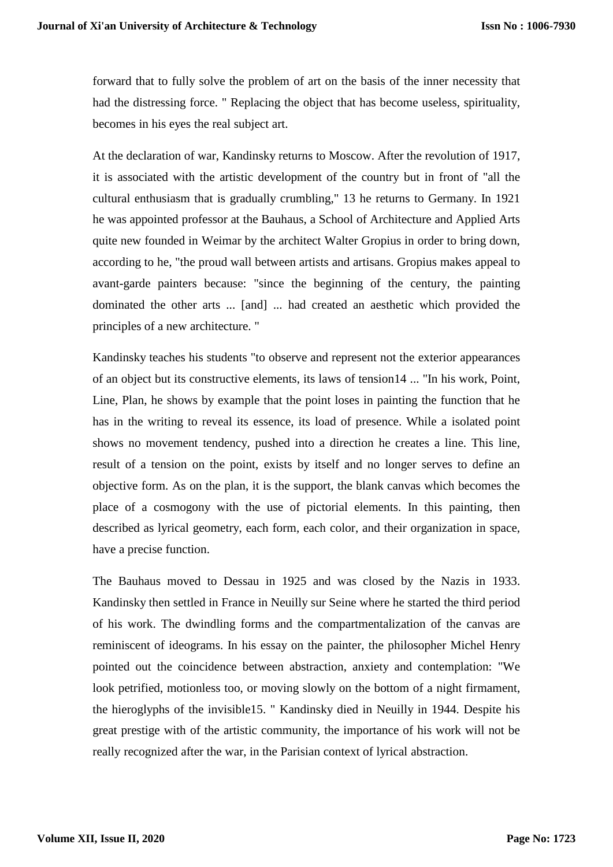forward that to fully solve the problem of art on the basis of the inner necessity that had the distressing force. " Replacing the object that has become useless, spirituality, becomes in his eyes the real subject art.

At the declaration of war, Kandinsky returns to Moscow. After the revolution of 1917, it is associated with the artistic development of the country but in front of "all the cultural enthusiasm that is gradually crumbling," 13 he returns to Germany. In 1921 he was appointed professor at the Bauhaus, a School of Architecture and Applied Arts quite new founded in Weimar by the architect Walter Gropius in order to bring down, according to he, "the proud wall between artists and artisans. Gropius makes appeal to avant-garde painters because: "since the beginning of the century, the painting dominated the other arts ... [and] ... had created an aesthetic which provided the principles of a new architecture. "

Kandinsky teaches his students "to observe and represent not the exterior appearances of an object but its constructive elements, its laws of tension14 ... "In his work, Point, Line, Plan, he shows by example that the point loses in painting the function that he has in the writing to reveal its essence, its load of presence. While a isolated point shows no movement tendency, pushed into a direction he creates a line. This line, result of a tension on the point, exists by itself and no longer serves to define an objective form. As on the plan, it is the support, the blank canvas which becomes the place of a cosmogony with the use of pictorial elements. In this painting, then described as lyrical geometry, each form, each color, and their organization in space, have a precise function.

The Bauhaus moved to Dessau in 1925 and was closed by the Nazis in 1933. Kandinsky then settled in France in Neuilly sur Seine where he started the third period of his work. The dwindling forms and the compartmentalization of the canvas are reminiscent of ideograms. In his essay on the painter, the philosopher Michel Henry pointed out the coincidence between abstraction, anxiety and contemplation: "We look petrified, motionless too, or moving slowly on the bottom of a night firmament, the hieroglyphs of the invisible15. " Kandinsky died in Neuilly in 1944. Despite his great prestige with of the artistic community, the importance of his work will not be really recognized after the war, in the Parisian context of lyrical abstraction.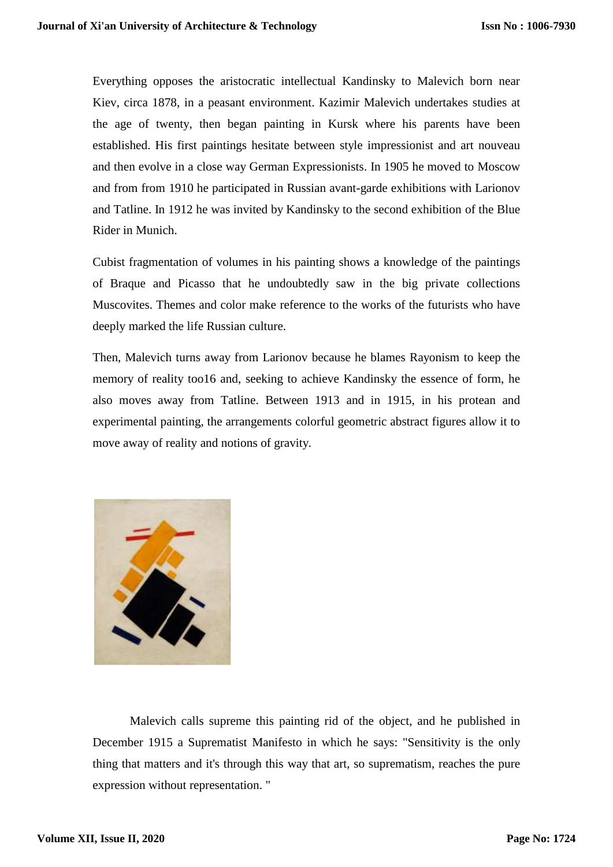Everything opposes the aristocratic intellectual Kandinsky to Malevich born near Kiev, circa 1878, in a peasant environment. Kazimir Malevich undertakes studies at the age of twenty, then began painting in Kursk where his parents have been established. His first paintings hesitate between style impressionist and art nouveau and then evolve in a close way German Expressionists. In 1905 he moved to Moscow and from from 1910 he participated in Russian avant-garde exhibitions with Larionov and Tatline. In 1912 he was invited by Kandinsky to the second exhibition of the Blue Rider in Munich.

Cubist fragmentation of volumes in his painting shows a knowledge of the paintings of Braque and Picasso that he undoubtedly saw in the big private collections Muscovites. Themes and color make reference to the works of the futurists who have deeply marked the life Russian culture.

Then, Malevich turns away from Larionov because he blames Rayonism to keep the memory of reality too16 and, seeking to achieve Kandinsky the essence of form, he also moves away from Tatline. Between 1913 and in 1915, in his protean and experimental painting, the arrangements colorful geometric abstract figures allow it to move away of reality and notions of gravity.



Malevich calls supreme this painting rid of the object, and he published in December 1915 a Suprematist Manifesto in which he says: "Sensitivity is the only thing that matters and it's through this way that art, so suprematism, reaches the pure expression without representation. "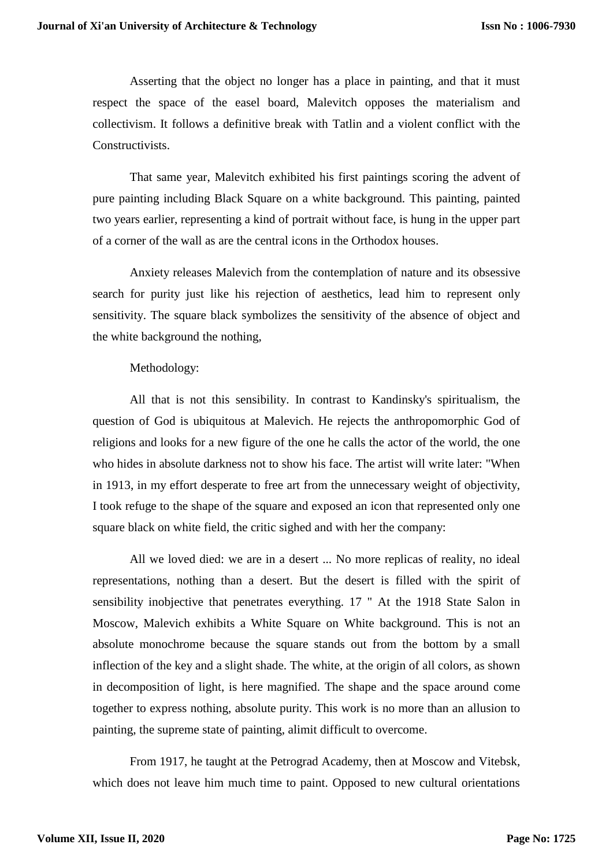Asserting that the object no longer has a place in painting, and that it must respect the space of the easel board, Malevitch opposes the materialism and collectivism. It follows a definitive break with Tatlin and a violent conflict with the **Constructivists** 

That same year, Malevitch exhibited his first paintings scoring the advent of pure painting including Black Square on a white background. This painting, painted two years earlier, representing a kind of portrait without face, is hung in the upper part of a corner of the wall as are the central icons in the Orthodox houses.

Anxiety releases Malevich from the contemplation of nature and its obsessive search for purity just like his rejection of aesthetics, lead him to represent only sensitivity. The square black symbolizes the sensitivity of the absence of object and the white background the nothing,

## Methodology:

All that is not this sensibility. In contrast to Kandinsky's spiritualism, the question of God is ubiquitous at Malevich. He rejects the anthropomorphic God of religions and looks for a new figure of the one he calls the actor of the world, the one who hides in absolute darkness not to show his face. The artist will write later: "When in 1913, in my effort desperate to free art from the unnecessary weight of objectivity, I took refuge to the shape of the square and exposed an icon that represented only one square black on white field, the critic sighed and with her the company:

All we loved died: we are in a desert ... No more replicas of reality, no ideal representations, nothing than a desert. But the desert is filled with the spirit of sensibility inobjective that penetrates everything. 17 " At the 1918 State Salon in Moscow, Malevich exhibits a White Square on White background. This is not an absolute monochrome because the square stands out from the bottom by a small inflection of the key and a slight shade. The white, at the origin of all colors, as shown in decomposition of light, is here magnified. The shape and the space around come together to express nothing, absolute purity. This work is no more than an allusion to painting, the supreme state of painting, alimit difficult to overcome.

From 1917, he taught at the Petrograd Academy, then at Moscow and Vitebsk, which does not leave him much time to paint. Opposed to new cultural orientations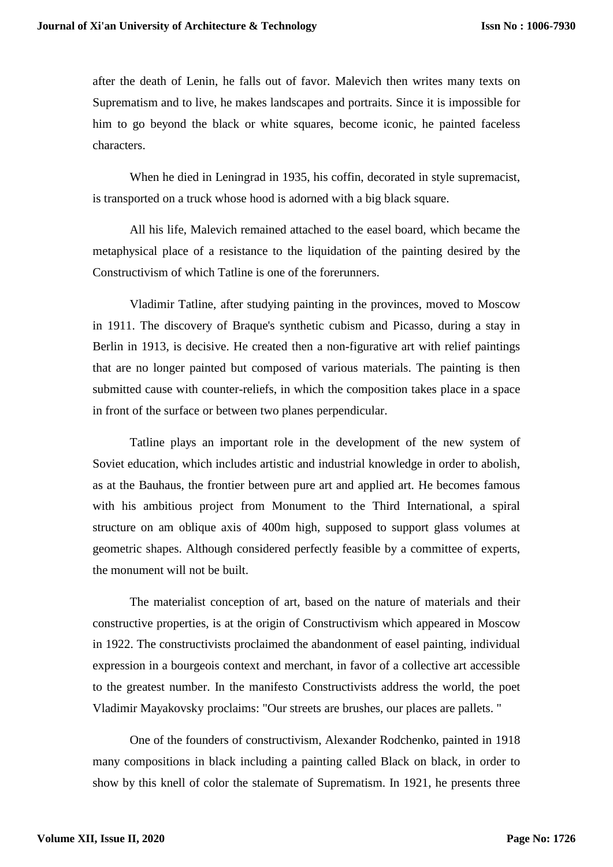after the death of Lenin, he falls out of favor. Malevich then writes many texts on Suprematism and to live, he makes landscapes and portraits. Since it is impossible for him to go beyond the black or white squares, become iconic, he painted faceless characters.

When he died in Leningrad in 1935, his coffin, decorated in style supremacist, is transported on a truck whose hood is adorned with a big black square.

All his life, Malevich remained attached to the easel board, which became the metaphysical place of a resistance to the liquidation of the painting desired by the Constructivism of which Tatline is one of the forerunners.

Vladimir Tatline, after studying painting in the provinces, moved to Moscow in 1911. The discovery of Braque's synthetic cubism and Picasso, during a stay in Berlin in 1913, is decisive. He created then a non-figurative art with relief paintings that are no longer painted but composed of various materials. The painting is then submitted cause with counter-reliefs, in which the composition takes place in a space in front of the surface or between two planes perpendicular.

Tatline plays an important role in the development of the new system of Soviet education, which includes artistic and industrial knowledge in order to abolish, as at the Bauhaus, the frontier between pure art and applied art. He becomes famous with his ambitious project from Monument to the Third International, a spiral structure on am oblique axis of 400m high, supposed to support glass volumes at geometric shapes. Although considered perfectly feasible by a committee of experts, the monument will not be built.

The materialist conception of art, based on the nature of materials and their constructive properties, is at the origin of Constructivism which appeared in Moscow in 1922. The constructivists proclaimed the abandonment of easel painting, individual expression in a bourgeois context and merchant, in favor of a collective art accessible to the greatest number. In the manifesto Constructivists address the world, the poet Vladimir Mayakovsky proclaims: "Our streets are brushes, our places are pallets. "

One of the founders of constructivism, Alexander Rodchenko, painted in 1918 many compositions in black including a painting called Black on black, in order to show by this knell of color the stalemate of Suprematism. In 1921, he presents three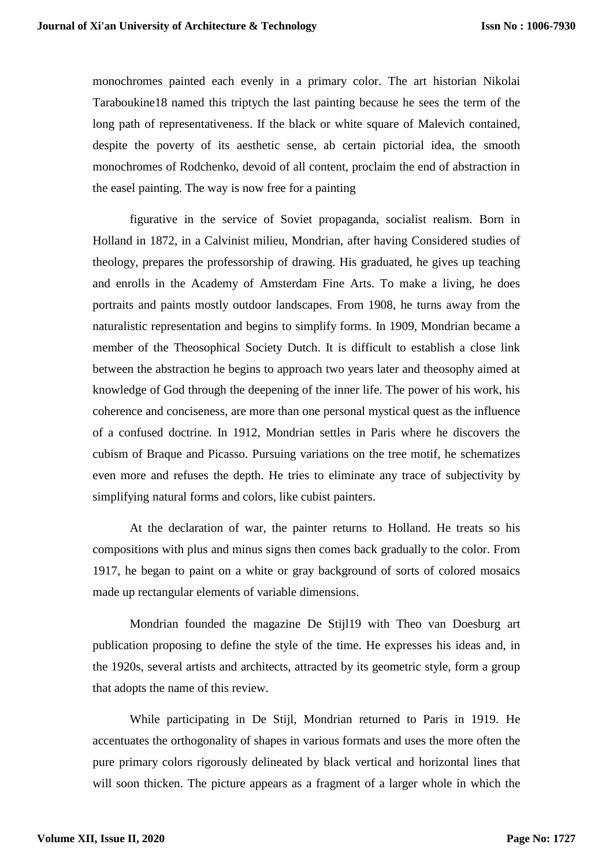monochromes painted each evenly in a primary color. The art historian Nikolai Taraboukine18 named this triptych the last painting because he sees the term of the long path of representativeness. If the black or white square of Malevich contained, despite the poverty of its aesthetic sense, ab certain pictorial idea, the smooth monochromes of Rodchenko, devoid of all content, proclaim the end of abstraction in the easel painting. The way is now free for a painting

figurative in the service of Soviet propaganda, socialist realism. Born in Holland in 1872, in a Calvinist milieu, Mondrian, after having Considered studies of theology, prepares the professorship of drawing. His graduated, he gives up teaching and enrolls in the Academy of Amsterdam Fine Arts. To make a living, he does portraits and paints mostly outdoor landscapes. From 1908, he turns away from the naturalistic representation and begins to simplify forms. In 1909, Mondrian became a member of the Theosophical Society Dutch. It is difficult to establish a close link between the abstraction he begins to approach two years later and theosophy aimed at knowledge of God through the deepening of the inner life. The power of his work, his coherence and conciseness, are more than one personal mystical quest as the influence of a confused doctrine. In 1912, Mondrian settles in Paris where he discovers the cubism of Braque and Picasso. Pursuing variations on the tree motif, he schematizes even more and refuses the depth. He tries to eliminate any trace of subjectivity by simplifying natural forms and colors, like cubist painters.

At the declaration of war, the painter returns to Holland. He treats so his compositions with plus and minus signs then comes back gradually to the color. From 1917, he began to paint on a white or gray background of sorts of colored mosaics made up rectangular elements of variable dimensions.

Mondrian founded the magazine De Stijl19 with Theo van Doesburg art publication proposing to define the style of the time. He expresses his ideas and, in the 1920s, several artists and architects, attracted by its geometric style, form a group that adopts the name of this review.

While participating in De Stijl, Mondrian returned to Paris in 1919. He accentuates the orthogonality of shapes in various formats and uses the more often the pure primary colors rigorously delineated by black vertical and horizontal lines that will soon thicken. The picture appears as a fragment of a larger whole in which the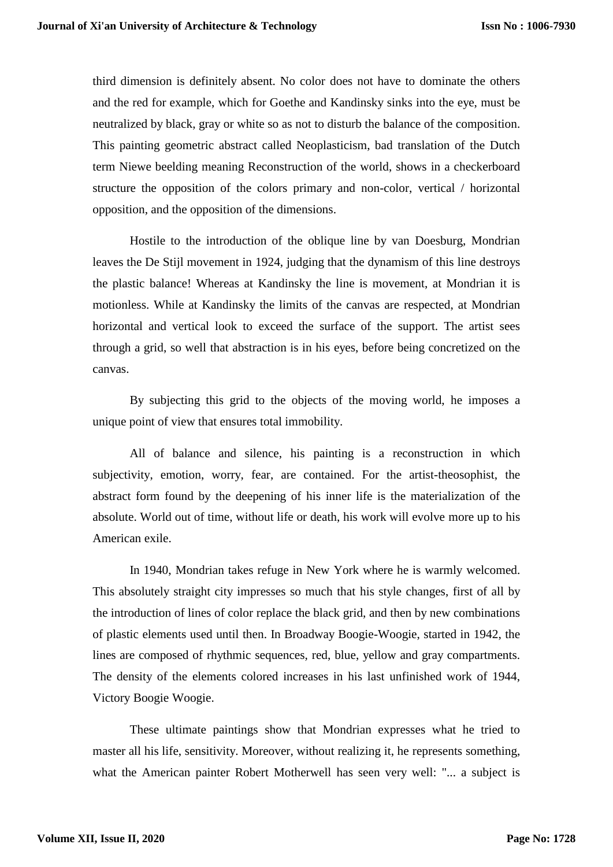third dimension is definitely absent. No color does not have to dominate the others and the red for example, which for Goethe and Kandinsky sinks into the eye, must be neutralized by black, gray or white so as not to disturb the balance of the composition. This painting geometric abstract called Neoplasticism, bad translation of the Dutch term Niewe beelding meaning Reconstruction of the world, shows in a checkerboard structure the opposition of the colors primary and non-color, vertical / horizontal opposition, and the opposition of the dimensions.

Hostile to the introduction of the oblique line by van Doesburg, Mondrian leaves the De Stijl movement in 1924, judging that the dynamism of this line destroys the plastic balance! Whereas at Kandinsky the line is movement, at Mondrian it is motionless. While at Kandinsky the limits of the canvas are respected, at Mondrian horizontal and vertical look to exceed the surface of the support. The artist sees through a grid, so well that abstraction is in his eyes, before being concretized on the canvas.

By subjecting this grid to the objects of the moving world, he imposes a unique point of view that ensures total immobility.

All of balance and silence, his painting is a reconstruction in which subjectivity, emotion, worry, fear, are contained. For the artist-theosophist, the abstract form found by the deepening of his inner life is the materialization of the absolute. World out of time, without life or death, his work will evolve more up to his American exile.

In 1940, Mondrian takes refuge in New York where he is warmly welcomed. This absolutely straight city impresses so much that his style changes, first of all by the introduction of lines of color replace the black grid, and then by new combinations of plastic elements used until then. In Broadway Boogie-Woogie, started in 1942, the lines are composed of rhythmic sequences, red, blue, yellow and gray compartments. The density of the elements colored increases in his last unfinished work of 1944, Victory Boogie Woogie.

These ultimate paintings show that Mondrian expresses what he tried to master all his life, sensitivity. Moreover, without realizing it, he represents something, what the American painter Robert Motherwell has seen very well: "... a subject is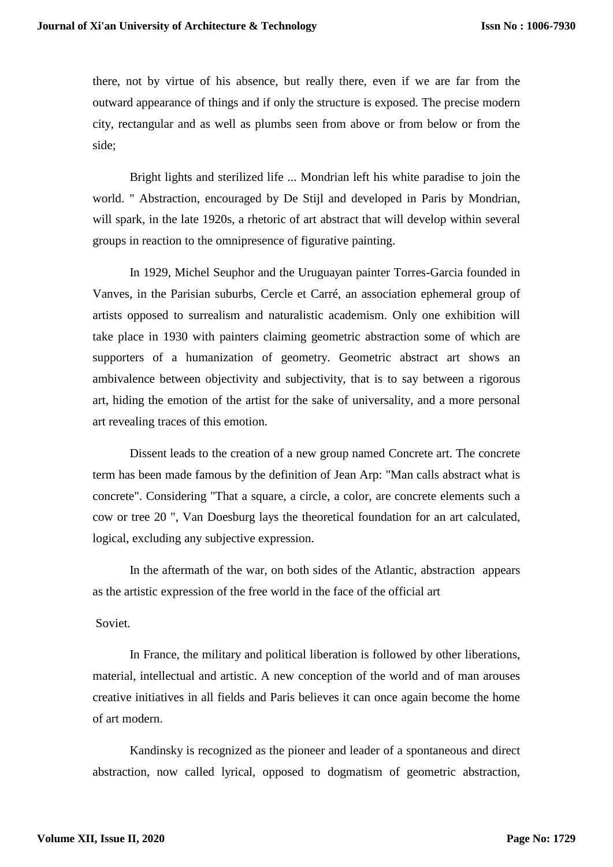there, not by virtue of his absence, but really there, even if we are far from the outward appearance of things and if only the structure is exposed. The precise modern city, rectangular and as well as plumbs seen from above or from below or from the side;

Bright lights and sterilized life ... Mondrian left his white paradise to join the world. " Abstraction, encouraged by De Stijl and developed in Paris by Mondrian, will spark, in the late 1920s, a rhetoric of art abstract that will develop within several groups in reaction to the omnipresence of figurative painting.

In 1929, Michel Seuphor and the Uruguayan painter Torres-Garcia founded in Vanves, in the Parisian suburbs, Cercle et Carré, an association ephemeral group of artists opposed to surrealism and naturalistic academism. Only one exhibition will take place in 1930 with painters claiming geometric abstraction some of which are supporters of a humanization of geometry. Geometric abstract art shows an ambivalence between objectivity and subjectivity, that is to say between a rigorous art, hiding the emotion of the artist for the sake of universality, and a more personal art revealing traces of this emotion.

Dissent leads to the creation of a new group named Concrete art. The concrete term has been made famous by the definition of Jean Arp: "Man calls abstract what is concrete". Considering "That a square, a circle, a color, are concrete elements such a cow or tree 20 ", Van Doesburg lays the theoretical foundation for an art calculated, logical, excluding any subjective expression.

In the aftermath of the war, on both sides of the Atlantic, abstraction appears as the artistic expression of the free world in the face of the official art

Soviet.

In France, the military and political liberation is followed by other liberations, material, intellectual and artistic. A new conception of the world and of man arouses creative initiatives in all fields and Paris believes it can once again become the home of art modern.

Kandinsky is recognized as the pioneer and leader of a spontaneous and direct abstraction, now called lyrical, opposed to dogmatism of geometric abstraction,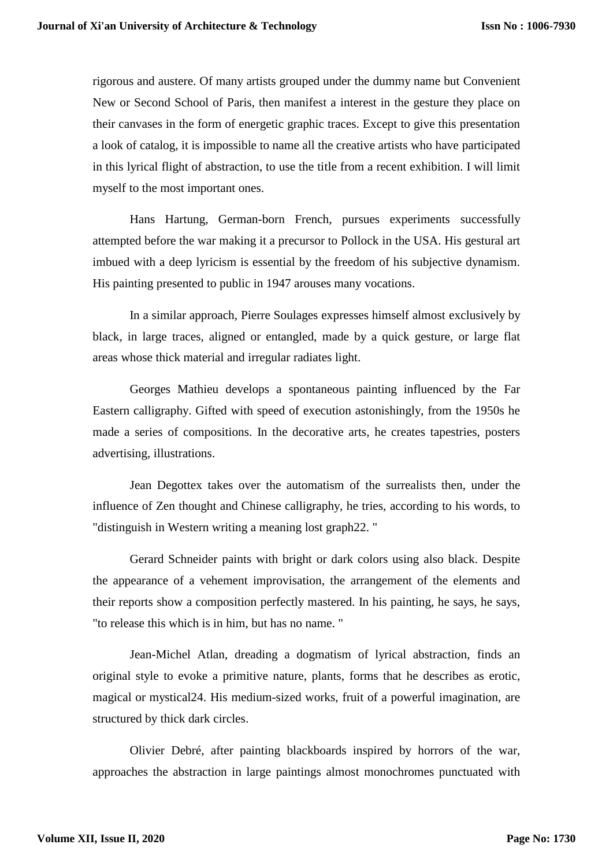rigorous and austere. Of many artists grouped under the dummy name but Convenient New or Second School of Paris, then manifest a interest in the gesture they place on their canvases in the form of energetic graphic traces. Except to give this presentation a look of catalog, it is impossible to name all the creative artists who have participated in this lyrical flight of abstraction, to use the title from a recent exhibition. I will limit myself to the most important ones.

Hans Hartung, German-born French, pursues experiments successfully attempted before the war making it a precursor to Pollock in the USA. His gestural art imbued with a deep lyricism is essential by the freedom of his subjective dynamism. His painting presented to public in 1947 arouses many vocations.

In a similar approach, Pierre Soulages expresses himself almost exclusively by black, in large traces, aligned or entangled, made by a quick gesture, or large flat areas whose thick material and irregular radiates light.

Georges Mathieu develops a spontaneous painting influenced by the Far Eastern calligraphy. Gifted with speed of execution astonishingly, from the 1950s he made a series of compositions. In the decorative arts, he creates tapestries, posters advertising, illustrations.

Jean Degottex takes over the automatism of the surrealists then, under the influence of Zen thought and Chinese calligraphy, he tries, according to his words, to "distinguish in Western writing a meaning lost graph22. "

Gerard Schneider paints with bright or dark colors using also black. Despite the appearance of a vehement improvisation, the arrangement of the elements and their reports show a composition perfectly mastered. In his painting, he says, he says, "to release this which is in him, but has no name. "

Jean-Michel Atlan, dreading a dogmatism of lyrical abstraction, finds an original style to evoke a primitive nature, plants, forms that he describes as erotic, magical or mystical24. His medium-sized works, fruit of a powerful imagination, are structured by thick dark circles.

Olivier Debré, after painting blackboards inspired by horrors of the war, approaches the abstraction in large paintings almost monochromes punctuated with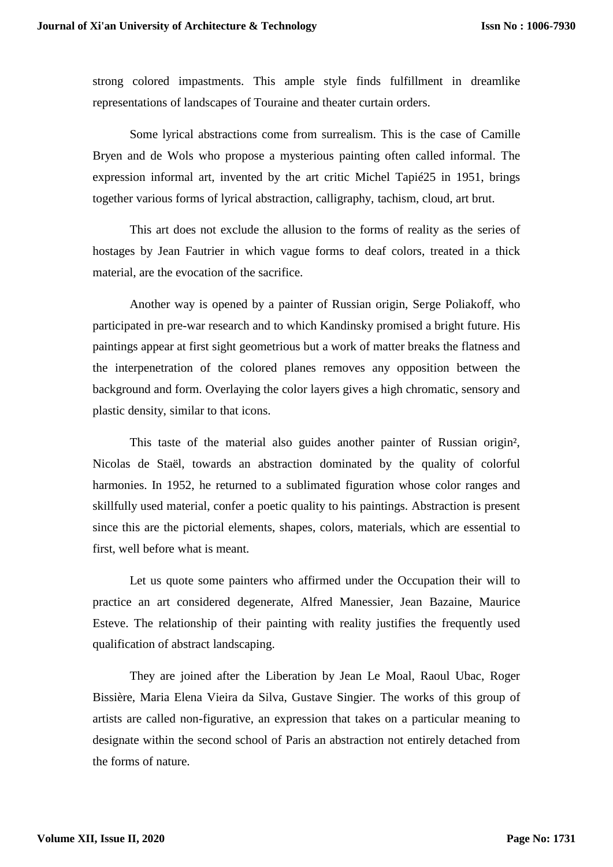strong colored impastments. This ample style finds fulfillment in dreamlike representations of landscapes of Touraine and theater curtain orders.

Some lyrical abstractions come from surrealism. This is the case of Camille Bryen and de Wols who propose a mysterious painting often called informal. The expression informal art, invented by the art critic Michel Tapié25 in 1951, brings together various forms of lyrical abstraction, calligraphy, tachism, cloud, art brut.

This art does not exclude the allusion to the forms of reality as the series of hostages by Jean Fautrier in which vague forms to deaf colors, treated in a thick material, are the evocation of the sacrifice.

Another way is opened by a painter of Russian origin, Serge Poliakoff, who participated in pre-war research and to which Kandinsky promised a bright future. His paintings appear at first sight geometrious but a work of matter breaks the flatness and the interpenetration of the colored planes removes any opposition between the background and form. Overlaying the color layers gives a high chromatic, sensory and plastic density, similar to that icons.

This taste of the material also guides another painter of Russian origin², Nicolas de Staël, towards an abstraction dominated by the quality of colorful harmonies. In 1952, he returned to a sublimated figuration whose color ranges and skillfully used material, confer a poetic quality to his paintings. Abstraction is present since this are the pictorial elements, shapes, colors, materials, which are essential to first, well before what is meant.

Let us quote some painters who affirmed under the Occupation their will to practice an art considered degenerate, Alfred Manessier, Jean Bazaine, Maurice Esteve. The relationship of their painting with reality justifies the frequently used qualification of abstract landscaping.

They are joined after the Liberation by Jean Le Moal, Raoul Ubac, Roger Bissière, Maria Elena Vieira da Silva, Gustave Singier. The works of this group of artists are called non-figurative, an expression that takes on a particular meaning to designate within the second school of Paris an abstraction not entirely detached from the forms of nature.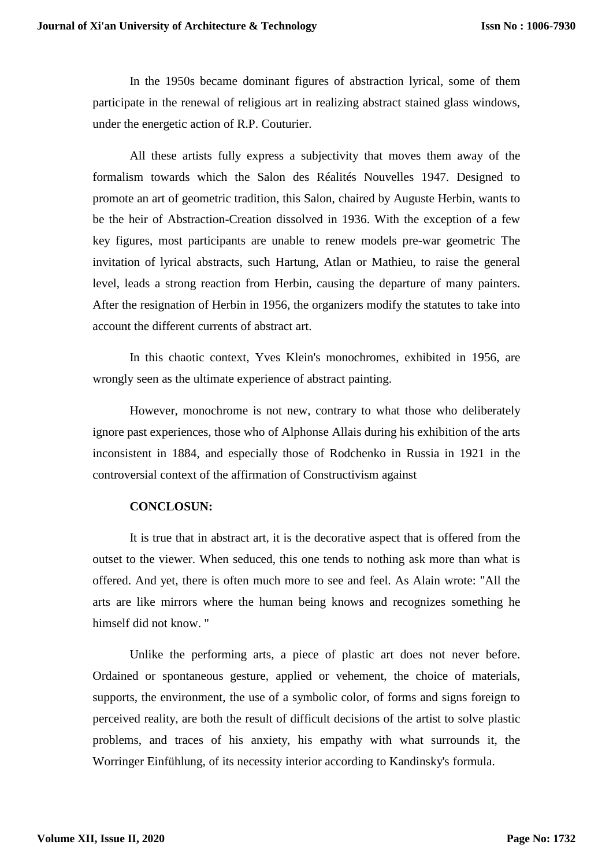In the 1950s became dominant figures of abstraction lyrical, some of them participate in the renewal of religious art in realizing abstract stained glass windows, under the energetic action of R.P. Couturier.

All these artists fully express a subjectivity that moves them away of the formalism towards which the Salon des Réalités Nouvelles 1947. Designed to promote an art of geometric tradition, this Salon, chaired by Auguste Herbin, wants to be the heir of Abstraction-Creation dissolved in 1936. With the exception of a few key figures, most participants are unable to renew models pre-war geometric The invitation of lyrical abstracts, such Hartung, Atlan or Mathieu, to raise the general level, leads a strong reaction from Herbin, causing the departure of many painters. After the resignation of Herbin in 1956, the organizers modify the statutes to take into account the different currents of abstract art.

In this chaotic context, Yves Klein's monochromes, exhibited in 1956, are wrongly seen as the ultimate experience of abstract painting.

However, monochrome is not new, contrary to what those who deliberately ignore past experiences, those who of Alphonse Allais during his exhibition of the arts inconsistent in 1884, and especially those of Rodchenko in Russia in 1921 in the controversial context of the affirmation of Constructivism against

#### **CONCLOSUN:**

It is true that in abstract art, it is the decorative aspect that is offered from the outset to the viewer. When seduced, this one tends to nothing ask more than what is offered. And yet, there is often much more to see and feel. As Alain wrote: "All the arts are like mirrors where the human being knows and recognizes something he himself did not know. "

Unlike the performing arts, a piece of plastic art does not never before. Ordained or spontaneous gesture, applied or vehement, the choice of materials, supports, the environment, the use of a symbolic color, of forms and signs foreign to perceived reality, are both the result of difficult decisions of the artist to solve plastic problems, and traces of his anxiety, his empathy with what surrounds it, the Worringer Einfühlung, of its necessity interior according to Kandinsky's formula.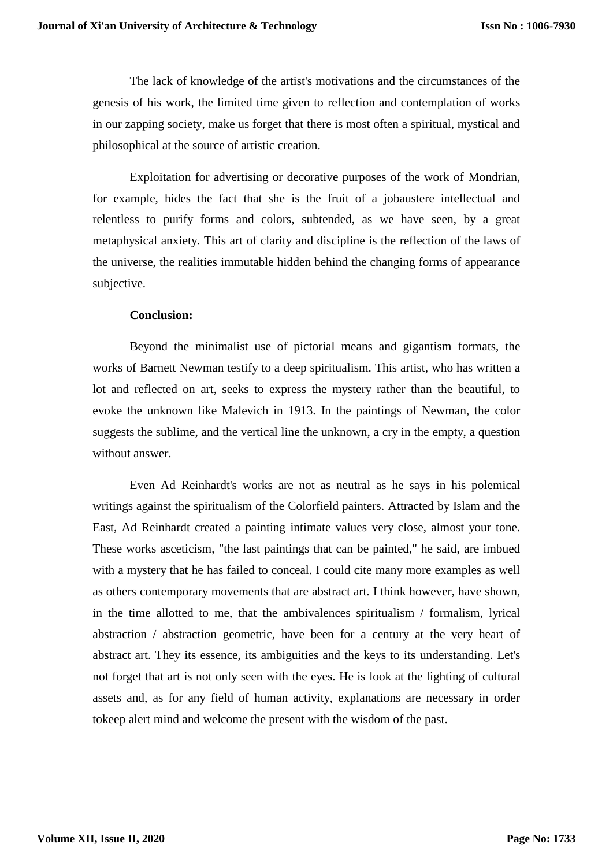The lack of knowledge of the artist's motivations and the circumstances of the genesis of his work, the limited time given to reflection and contemplation of works in our zapping society, make us forget that there is most often a spiritual, mystical and philosophical at the source of artistic creation.

Exploitation for advertising or decorative purposes of the work of Mondrian, for example, hides the fact that she is the fruit of a jobaustere intellectual and relentless to purify forms and colors, subtended, as we have seen, by a great metaphysical anxiety. This art of clarity and discipline is the reflection of the laws of the universe, the realities immutable hidden behind the changing forms of appearance subjective.

### **Conclusion:**

Beyond the minimalist use of pictorial means and gigantism formats, the works of Barnett Newman testify to a deep spiritualism. This artist, who has written a lot and reflected on art, seeks to express the mystery rather than the beautiful, to evoke the unknown like Malevich in 1913. In the paintings of Newman, the color suggests the sublime, and the vertical line the unknown, a cry in the empty, a question without answer.

Even Ad Reinhardt's works are not as neutral as he says in his polemical writings against the spiritualism of the Colorfield painters. Attracted by Islam and the East, Ad Reinhardt created a painting intimate values very close, almost your tone. These works asceticism, "the last paintings that can be painted," he said, are imbued with a mystery that he has failed to conceal. I could cite many more examples as well as others contemporary movements that are abstract art. I think however, have shown, in the time allotted to me, that the ambivalences spiritualism / formalism, lyrical abstraction / abstraction geometric, have been for a century at the very heart of abstract art. They its essence, its ambiguities and the keys to its understanding. Let's not forget that art is not only seen with the eyes. He is look at the lighting of cultural assets and, as for any field of human activity, explanations are necessary in order tokeep alert mind and welcome the present with the wisdom of the past.